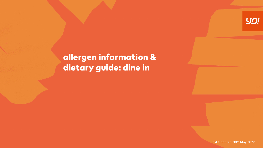

# allergen information & dietary guide: dine in

Last Updated: 30<sup>th</sup> May 2022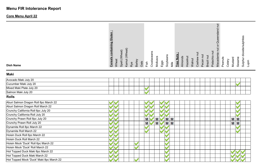# **Menu FIR Intolerance Report**

# **Core Menu April 22**

| <b>Dish Name</b>                         | <b>Cereals containing Gluten:</b> | Wheat | Spelt (Wheat) | Kamut (Wheat) | Rye | Barley | Oats | Crustaceans<br>Fish | Molluscs |   | Soybeans<br>Eggs | Milk           | <b>Tree Nuts</b> | Almonds | Hazelnut | Walnut | Cashew nut | Pecan nut | Brazil nut | Pistachio nut | Macadamia nut or Queensland nut | Peanuts | Celery | Mustard | Sesame | Sulphur dioxide/sulphites<br>Lupin |  |
|------------------------------------------|-----------------------------------|-------|---------------|---------------|-----|--------|------|---------------------|----------|---|------------------|----------------|------------------|---------|----------|--------|------------|-----------|------------|---------------|---------------------------------|---------|--------|---------|--------|------------------------------------|--|
| Maki                                     |                                   |       |               |               |     |        |      |                     |          |   |                  |                |                  |         |          |        |            |           |            |               |                                 |         |        |         |        |                                    |  |
| Avocado Maki July 20                     |                                   |       |               |               |     |        |      |                     |          |   |                  |                |                  |         |          |        |            |           |            |               |                                 |         |        |         |        |                                    |  |
| Cucumber Maki July 20                    |                                   |       |               |               |     |        |      |                     |          |   |                  |                |                  |         |          |        |            |           |            |               |                                 |         |        |         |        |                                    |  |
| Mixed Maki Plate July 20                 |                                   |       |               |               |     |        |      |                     |          |   |                  |                |                  |         |          |        |            |           |            |               |                                 |         |        |         |        |                                    |  |
| Salmon Maki July 20                      |                                   |       |               |               |     |        |      |                     |          |   |                  |                |                  |         |          |        |            |           |            |               |                                 |         |        |         |        |                                    |  |
| <b>Rolls</b>                             |                                   |       |               |               |     |        |      |                     |          |   |                  |                |                  |         |          |        |            |           |            |               |                                 |         |        |         |        |                                    |  |
| Aburi Salmon Dragon Roll 8pc March 22    |                                   |       |               |               |     |        |      |                     |          |   |                  |                |                  |         |          |        |            |           |            |               |                                 |         |        |         |        |                                    |  |
| Aburi Salmon Dragon Roll March 22        |                                   |       |               |               |     |        |      |                     |          |   |                  |                |                  |         |          |        |            |           |            |               |                                 |         |        |         |        |                                    |  |
| Crunchy California Roll 6pc July 20      |                                   |       |               |               |     |        |      |                     |          |   |                  |                |                  |         |          |        |            |           |            |               |                                 |         |        |         |        |                                    |  |
| Crunchy California Roll July 20          |                                   |       |               |               |     |        |      |                     |          |   |                  |                |                  |         |          |        |            |           |            |               |                                 |         |        |         |        |                                    |  |
| Crunchy Prawn Roll 8pc July 20           |                                   |       |               |               |     |        |      | Μ                   |          | Μ |                  | M M            |                  |         |          |        |            |           |            |               |                                 |         |        | M M     |        |                                    |  |
| Crunchy Prawn Roll July 20               |                                   |       |               |               |     |        |      | Μ                   |          | Μ |                  | M <sub>M</sub> |                  |         |          |        |            |           |            |               |                                 |         |        | M M     |        |                                    |  |
| Dynamite Roll 8pc March 22               |                                   |       |               |               |     |        |      |                     |          |   |                  |                |                  |         |          |        |            |           |            |               |                                 |         |        |         |        |                                    |  |
| Dynamite Roll March 22                   |                                   |       |               |               |     |        |      |                     |          |   |                  |                |                  |         |          |        |            |           |            |               |                                 |         |        |         |        |                                    |  |
| Hoisin Duck Roll 6pc March 22            |                                   |       |               |               |     |        |      |                     |          |   |                  |                |                  |         |          |        |            |           |            |               |                                 |         |        |         |        |                                    |  |
| Hoisin Duck Roll March 22                |                                   |       |               |               |     |        |      |                     |          |   |                  |                |                  |         |          |        |            |           |            |               |                                 |         |        |         |        |                                    |  |
| Hoisin Mock 'Duck' Roll 6pc March 22     |                                   |       |               |               |     |        |      |                     |          |   |                  |                |                  |         |          |        |            |           |            |               |                                 |         |        |         |        |                                    |  |
| Hoisin Mock 'Duck' Roll March 22         |                                   |       |               |               |     |        |      |                     |          |   | <b>M</b>         |                |                  |         |          |        |            |           |            |               |                                 |         |        |         |        |                                    |  |
| Hot Topped Duck Maki 8pc March 22        |                                   |       |               |               |     |        |      |                     |          |   |                  |                |                  |         |          |        |            |           |            |               |                                 |         |        |         |        |                                    |  |
| Hot Topped Duck Maki March 22            |                                   |       |               |               |     |        |      |                     |          |   |                  |                |                  |         |          |        |            |           |            |               |                                 |         |        |         |        |                                    |  |
| Hot Topped Mock 'Duck' Maki 8pc March 22 |                                   |       |               |               |     |        |      |                     |          |   |                  |                |                  |         |          |        |            |           |            |               |                                 |         |        |         |        |                                    |  |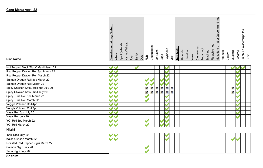| - 1<br><b>containing Gluten</b><br><b>Cereals</b> |
|---------------------------------------------------|
| Wheat                                             |
| Spelt (Wheat)                                     |
| Kamut (Wheat)                                     |
| Rye                                               |
| Barley                                            |
| Oats                                              |
| Fish                                              |
| Crustaceans                                       |
| Molluscs                                          |
| Eggs                                              |
| Soybeans                                          |
| Milk                                              |
| Tree Nuts                                         |
| Almonds                                           |
| Hazelnut                                          |
| Walnut                                            |
| Cashew nut                                        |
| Pecan nut                                         |
| Brazil nut                                        |
| Pistachio nut                                     |
| jur<br>Macadamia nut or Queensland                |
| Peanuts                                           |
| Celery                                            |
| Mustard                                           |
| Sesame                                            |
| Sulphur dioxide/sulphites                         |
| Lupin                                             |
|                                                   |

#### **Dish Name**

| Hot Topped Mock 'Duck' Maki March 22 |                          |                          |
|--------------------------------------|--------------------------|--------------------------|
| Red Pepper Dragon Roll 8pc March 22  |                          |                          |
| Red Pepper Dragon Roll March 22      |                          |                          |
| Salmon Dragon Roll 8pc March 22      |                          |                          |
| Salmon Dragon Roll March 22          |                          |                          |
| Spicy Chicken Katsu Roll 6pc July 20 | M M M<br>M<br>M M        | <b>MV</b>                |
| Spicy Chicken Katsu Roll July 20     | <b>M</b> M<br>M M M<br>М | <b>MV</b>                |
| Spicy Tuna Roll 8pc March 22         |                          |                          |
| Spicy Tuna Roll March 22             |                          | $\blacksquare$           |
| Veggie Volcano Roll 4pc              |                          |                          |
| Veggie Volcano Roll 8pc              |                          |                          |
| Yasai Roll 6pc July 20               |                          |                          |
| Yasai Roll July 20                   |                          | $\overline{\phantom{a}}$ |
| YO! Roll 8pc March 22                |                          |                          |
| YO! Roll March 22                    |                          |                          |
| <b>Nigiri</b>                        |                          |                          |
| Inari Taco July 20                   | ×                        |                          |
| Kaiso Gunkan March 22                |                          |                          |
| Roasted Red Pepper Nigiri March 22   |                          |                          |
| Salmon Nigiri July 20                |                          |                          |
| Tuna Nigiri July 20                  |                          |                          |

**Sashimi**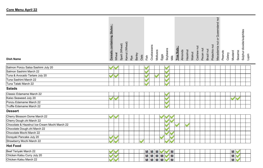| $\bar{\bar{\mathbf{o}}}$<br>containing<br><b>Cereals</b> |  |
|----------------------------------------------------------|--|
| Spelt (Wheat)<br>Wheat                                   |  |
| Kamut (Wheat)                                            |  |
| Rye                                                      |  |
| Barley                                                   |  |
| Oats                                                     |  |
| Fish                                                     |  |
| Crustacea                                                |  |
| Molluscs                                                 |  |
| Eggs                                                     |  |
| Soybeans<br>Milk                                         |  |
|                                                          |  |
| <b>Tree Nuts</b><br>Almonds                              |  |
| <b>Hazelnut</b>                                          |  |
| Walnut                                                   |  |
| $\overline{a}$<br>Cashew                                 |  |
| Pecan nut                                                |  |
| Brazil nut                                               |  |
| nut<br>Pistachio                                         |  |
| ē.<br>Queensland<br>ð<br>Macadamia nut                   |  |
| Peanuts                                                  |  |
| Celery                                                   |  |
| Mustard                                                  |  |
| Sesame                                                   |  |
| dioxide/sulphites<br>Sulphur<br>$\overline{\phantom{0}}$ |  |
| upin                                                     |  |
|                                                          |  |

#### Salmon Ponzu Salsa Sashimi July 20 VV  $\blacktriangleright$  $\blacktriangledown$ Salmon Sashimi March 22  $\blacktriangledown$  $\overline{\mathcal{L}}$ Tuna & Avocado Tartare July 20 **STARTING**  $\blacktriangleright$ Tuna Sashimi March 22 Tuna Tataki March 22 **Salads** Classic Edamame March 22  $\mathcal{L}$ Kaiso Seaweed July 20  $\overline{\mathbf{v}}$  $\blacktriangledown$ VV Ponzu Edamame March 22 Truffle Edamame March 22

#### **Dessert**

**Dish Name**

| Cherry Blossom Dome March 22                  |  |  |
|-----------------------------------------------|--|--|
| Cherry Dough.chi March 22                     |  |  |
| Chocolate & Hazelnut Ice-Cream Mochi March 22 |  |  |
| Chocolate Dough.chi March 22                  |  |  |
| Chocolate Mochi March 22                      |  |  |
| Dorayaki Pancake July 20                      |  |  |
| Strawberry Mochi March 22                     |  |  |

# **Hot Food**

| Teriyaki March 22<br>$\left  \text{Beef } T \right $ | .<br><br><b>BA BAI</b><br>M<br>IМ<br>IVІ<br><b>IVI</b> | <b>M</b>           |
|------------------------------------------------------|--------------------------------------------------------|--------------------|
| Chicken<br>July 20<br>n Katsu Curry                  | -----<br>.<br>--<br>M<br>IVI<br>IVI<br>IVI<br>IШ       | <b>BALL</b><br>M I |
| Chicken Katsu March 22                               | -----<br>---<br>M<br>M<br><b>M</b><br>M<br>IVІ         | <b>M</b>           |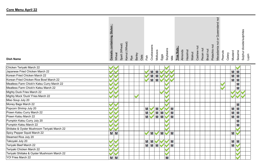| $\cdot$ .<br><b>Cereals containing Gluten</b> |
|-----------------------------------------------|
| Wheat                                         |
| Spelt (Wheat)                                 |
| Kamut (Wheat)                                 |
| Rye                                           |
| Barley                                        |
| Oats                                          |
| Fish                                          |
| Crustaceans                                   |
| Molluscs                                      |
| Eggs                                          |
| Soybeans                                      |
| Milk                                          |
| - 1<br>Tree Nuts                              |
| Almonds                                       |
| Hazelnut                                      |
| Walnut                                        |
| Cashew nut                                    |
| Pecan nut                                     |
| Brazil nut                                    |
| Pistachio nut                                 |
| Macadamia nut or Queensland                   |
| Peanuts                                       |
| Celery                                        |
| Mustard                                       |
| Sesame                                        |
| Sulphur dioxide/sulphites                     |
| Lupin                                         |
|                                               |

| Chicken Teriyaki March 22                    |     |                              |           |
|----------------------------------------------|-----|------------------------------|-----------|
| Japanese Fried Chicken March 22              |     | M<br>М                       | M M       |
| Korean Fried Chicken March 22                |     | M<br>М                       | M M       |
| Korean Fried Chicken Rice Bowl March 22      |     | M<br>М                       | M M       |
| Meatless Farm Chick'n Katsu Curry March 22   |     |                              | M         |
| Meatless Farm Chick'n Katsu March 22         |     |                              | M         |
| Mighty Duck Fries March 22                   |     |                              |           |
| Mighty Mock 'Duck' Fries March 22            |     |                              |           |
| Miso Soup July 20                            |     |                              |           |
| Money Bags March 22                          |     |                              | M         |
| Popcorn Shrimp July 20                       |     | M<br>Μ<br>M                  | M M       |
| Prawn Katsu Curry March 22                   |     | M <sub>M</sub><br>M<br>M     | M M       |
| Prawn Katsu March 22                         |     | <b>MV</b><br><b>MMV</b><br>M | M M       |
| Pumpkin Katsu Curry July 20                  |     |                              | M         |
| Pumpkin Katsu March 22                       |     |                              | M         |
| Shiitake & Oyster Mushroom Teriyaki March 22 |     |                              |           |
| Spicy Pepper Squid March 22                  | M M | M<br>M<br>M                  | <b>MV</b> |
| Steamed Rice July 20                         |     |                              |           |
| Takoyaki July 20                             |     | M<br>М<br>M                  | M M       |
| Teriyaki Beef March 22                       |     | <b>MMMV</b><br>М             | <b>M</b>  |
| Teriyaki Chicken March 22                    |     |                              |           |
| Teriyaki Shiitake & Oyster Mushroom March 22 |     |                              |           |
| YO! Fries March 22                           | M M | Μ                            |           |

# **Dish Name**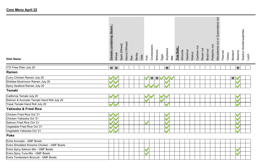| <b>Dish Name</b>                            | Queensland nut<br><b>Cereals containing Gluten:</b><br>Sulphur dioxide/sulphites<br>Macadamia nut or<br>Kamut (Wheat)<br>Spelt (Wheat)<br>Pistachio nut<br>Crustaceans<br>Cashew nut<br>Tree Nuts:<br>Soybeans<br>Pecan nut<br>Brazil nut<br>Molluscs<br>Hazelnut<br>Almonds<br>Peanuts<br>Sesame<br>Mustard<br>Walnut<br>Wheat<br>Celery<br><b>Barley</b><br>Eggs<br>Oats<br>Fish<br>Milk<br>Rye | Lupin |
|---------------------------------------------|---------------------------------------------------------------------------------------------------------------------------------------------------------------------------------------------------------------------------------------------------------------------------------------------------------------------------------------------------------------------------------------------------|-------|
| YO! Fries Plain July 20                     | M <sub>M</sub><br>М<br>M                                                                                                                                                                                                                                                                                                                                                                          |       |
| Ramen                                       |                                                                                                                                                                                                                                                                                                                                                                                                   |       |
| Curry Chicken Ramen July 20                 | M M<br>M                                                                                                                                                                                                                                                                                                                                                                                          |       |
| Shiitake Mushroom Ramen July 20             |                                                                                                                                                                                                                                                                                                                                                                                                   |       |
| Spicy Seafood Ramen July 20                 |                                                                                                                                                                                                                                                                                                                                                                                                   |       |
| <b>Temaki</b>                               |                                                                                                                                                                                                                                                                                                                                                                                                   |       |
| California Temaki July 20                   |                                                                                                                                                                                                                                                                                                                                                                                                   |       |
| Salmon & Avocado Temaki Hand Roll July 20   |                                                                                                                                                                                                                                                                                                                                                                                                   |       |
| Yasai Temaki Hand Roll July 20              |                                                                                                                                                                                                                                                                                                                                                                                                   |       |
| <b>Yakisoba &amp; Fried Rice</b>            |                                                                                                                                                                                                                                                                                                                                                                                                   |       |
| Chicken Fried Rice Oct '21                  |                                                                                                                                                                                                                                                                                                                                                                                                   |       |
| Chicken Yakisoba Oct '21                    |                                                                                                                                                                                                                                                                                                                                                                                                   |       |
| Salmon Fried Rice Oct '21                   |                                                                                                                                                                                                                                                                                                                                                                                                   |       |
| Vegetable Fried Rice Oct '21                |                                                                                                                                                                                                                                                                                                                                                                                                   |       |
| Vegetable Yakisoba Oct '21                  |                                                                                                                                                                                                                                                                                                                                                                                                   |       |
| <b>Poke</b>                                 |                                                                                                                                                                                                                                                                                                                                                                                                   |       |
| Extra Avocado - GMF Bowls                   |                                                                                                                                                                                                                                                                                                                                                                                                   |       |
| Extra Shredded Sriracha Chicken - GMF Bowls |                                                                                                                                                                                                                                                                                                                                                                                                   |       |
| Extra Spicy Salmon Mix - GMF Bowls          |                                                                                                                                                                                                                                                                                                                                                                                                   |       |
| Extra Spicy Tuna Mix - GMF Bowls            |                                                                                                                                                                                                                                                                                                                                                                                                   |       |
| Extra Tenderstem Broccoli - GMF Bowls       |                                                                                                                                                                                                                                                                                                                                                                                                   |       |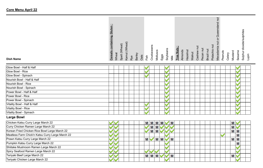| <br>containing Gluten<br><b>Cereals</b> |
|-----------------------------------------|
| Wheat                                   |
| Spelt (Wheat)                           |
| Kamut (Wheat)                           |
| Rye                                     |
| Barley                                  |
| Oats                                    |
| Fish                                    |
| Crustaceans                             |
| Molluscs                                |
| Eggs                                    |
| Soybeans                                |
| Milk                                    |
| - 11<br>Tree Nuts                       |
| Almonds                                 |
| Hazelnut                                |
| Walnut                                  |
| Cashew nut                              |
| Pecan nut                               |
| Brazil nut                              |
| Pistachio nut                           |
| Ξ<br>Macadamia nut or Queensland        |
| Peanuts                                 |
| Celery                                  |
| Mustard                                 |
| Sesame                                  |
| Sulphur dioxide/sulphites               |
| Lupin                                   |
|                                         |

—

| Glow Bowl - Half & Half     |  |  |
|-----------------------------|--|--|
| Glow Bowl - Rice            |  |  |
| Glow Bowl - Spinach         |  |  |
| Nourish Bowl - Half & Half  |  |  |
| Nourish Bowl - Rice         |  |  |
| Nourish Bowl - Spinach      |  |  |
| Power Bowl - Half & Half    |  |  |
| Power Bowl - Rice           |  |  |
| Power Bowl - Spinach        |  |  |
| Vitality Bowl - Half & Half |  |  |
| Vitality Bowl - Rice        |  |  |
| Vitality Bowl - Spinach     |  |  |

# **Large Bowl**

| Chicken Katsu Curry Large March 22               | <b>MMMM</b> M | <b>M</b>       |
|--------------------------------------------------|---------------|----------------|
| Curry Chicken Ramen Large March 22               | <b>MM</b>     | <b>M</b>       |
| Korean Fried Chicken Rice Bowl Large March 22    | <b>MM</b>     | M M            |
| Meatless Farm Chick'n Katsu Curry Large March 22 |               | Μ              |
| Prawn Katsu Curry Large March 22                 | М<br>МI<br>M  | M M            |
| Pumpkin Katsu Curry Large March 22               |               | M              |
| Shiitake Mushroom Ramen Large March 22           |               |                |
| Spicy Seafood Ramen Large March 22               |               |                |
| Teriyaki Beef Large March 22                     | M M M<br>М    | M <sup>1</sup> |
| Teriyaki Chicken Large March 22                  |               |                |

# **Dish Name**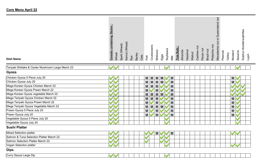| <b>Dish Name</b>                                   | Queensland nut<br><b>Cereals containing Gluten:</b><br>Sulphur dioxide/sulphites<br>$\rm \overleftarrow{o}$<br>Macadamia nut<br>Kamut (Wheat)<br>Spelt (Wheat)<br>Pistachio nut<br>Crustaceans<br>Cashew nu<br><b>Tree Nuts</b><br>Soybeans<br>Pecan nut<br>Brazil nut<br>Molluscs<br>Hazelnut<br>Almonds<br>Peanuts<br>Sesame<br>Mustard<br>Walnut<br>Wheat<br>Celery<br><b>Barley</b><br>Eggs<br>Oats<br>Fish<br>Milk<br>Rye | Lupin |
|----------------------------------------------------|--------------------------------------------------------------------------------------------------------------------------------------------------------------------------------------------------------------------------------------------------------------------------------------------------------------------------------------------------------------------------------------------------------------------------------|-------|
| Teriyaki Shiitake & Oyster Mushroom Large March 22 |                                                                                                                                                                                                                                                                                                                                                                                                                                |       |
| Gyoza                                              |                                                                                                                                                                                                                                                                                                                                                                                                                                |       |
| Chicken Gyoza 5 Piece July 20                      | M M M M<br>M<br>M                                                                                                                                                                                                                                                                                                                                                                                                              |       |
| Chicken Gyoza July 20                              | M M M<br>M<br>M<br>Μ                                                                                                                                                                                                                                                                                                                                                                                                           |       |
| Mega Korean Gyoza Chicken March 22                 | M M<br>М<br>M                                                                                                                                                                                                                                                                                                                                                                                                                  |       |
| Mega Korean Gyoza Prawn March 22                   | М<br>М<br>M                                                                                                                                                                                                                                                                                                                                                                                                                    |       |
| Mega Korean Gyoza vegetable March 22               | M M<br>M<br>Μ<br>М                                                                                                                                                                                                                                                                                                                                                                                                             |       |
| Mega Teriyaki Gyoza Chicken March 22               | M<br>M <sub>M</sub><br>M<br>M                                                                                                                                                                                                                                                                                                                                                                                                  |       |
| Mega Teriyaki Gyoza Prawn March 22                 | M<br>Μ<br>М<br>M                                                                                                                                                                                                                                                                                                                                                                                                               |       |
| Mega Teriyaki Gyoza Vegetable March 22             | M<br>М<br>М<br>M M<br>M                                                                                                                                                                                                                                                                                                                                                                                                        |       |
| Prawn Gyoza 5 Piece July 20                        | M<br>Μ<br>Μ<br>Μ                                                                                                                                                                                                                                                                                                                                                                                                               |       |
| Prawn Gyoza July 20                                | М<br>M<br>M<br>M                                                                                                                                                                                                                                                                                                                                                                                                               |       |
| Vegetable Gyoza 5 Piece July 20                    |                                                                                                                                                                                                                                                                                                                                                                                                                                |       |
| Vegetable Gyoza July 20                            |                                                                                                                                                                                                                                                                                                                                                                                                                                |       |
| <b>Sushi Platter</b>                               |                                                                                                                                                                                                                                                                                                                                                                                                                                |       |
| Mixed Selection platter                            | М<br>M                                                                                                                                                                                                                                                                                                                                                                                                                         |       |
| Salmon & Tuna Selection Platter March 22           |                                                                                                                                                                                                                                                                                                                                                                                                                                |       |
| Salmon Selection Platter March 22                  |                                                                                                                                                                                                                                                                                                                                                                                                                                |       |
| Vegan Selection platter                            |                                                                                                                                                                                                                                                                                                                                                                                                                                |       |
| <b>Dips</b>                                        |                                                                                                                                                                                                                                                                                                                                                                                                                                |       |
| Curry Sauce Large Dip                              |                                                                                                                                                                                                                                                                                                                                                                                                                                |       |
|                                                    |                                                                                                                                                                                                                                                                                                                                                                                                                                |       |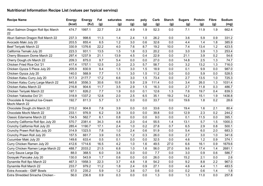| <b>Recipe Name</b>                               | <b>Energy</b> | <b>Energy</b> | Fat  | saturates | mono | poly | Carb  | <b>Starch</b> | <b>Sugars</b> | Protein | <b>Fibre</b> | Sodium |
|--------------------------------------------------|---------------|---------------|------|-----------|------|------|-------|---------------|---------------|---------|--------------|--------|
|                                                  | (kcal)        | (KJ)          | (g)  | (g)       | (g)  | (g)  | (g)   | (g)           | (g)           | (g)     | (g)          | (mg)   |
| Aburi Salmon Dragon Roll 8pc March<br>22         | 474.7         | 1997.1        | 22.7 | 2.8       | 4.9  | 1.9  | 52.3  | 0.0           | 7.1           | 11.9    | 1.9          | 662.4  |
| Aburi Salmon Dragon Roll March 22                | 237.3         | 998.6         | 11.3 | 1.4       | 2.4  | 1.0  | 26.2  | 0.0           | 3.6           | 5.9     | 0.9          | 331.2  |
| Avocado Maki July 20                             | 203.5         | 855.4         | 6.5  | 1.2       | 3.0  | 0.6  | 32.6  | 0.0           | 4.4           | 1.4     | 1.8          | 385.9  |
| Beef Teriyaki March 22                           | 330.9         | 1376.6        | 22.2 | 4.0       | 7.6  | 8.7  | 19.2  | 10.0          | 7.4           | 13.4    | 1.2          | 423.5  |
| California Temaki July 20                        | 223.3         | 931.1         | 13.5 | 1.5       | 1.8  | 0.3  | 20.2  | 0.0           | 3.0           | 3.9     | 1.3          | 253.4  |
| Cherry Blossom Dome March 22                     | 297.4         | 1237.9        | 21.1 | 13.9      | 4.5  | 0.4  | 22.9  | 0.0           | 21.1          | 3.9     | 0.2          | 54.6   |
| Cherry Dough.chi March 22                        | 209.3         | 875.0         | 9.7  | 5.4       | 0.0  | 0.0  | 27.0  | 0.0           | 14.8          | 2.5     | 1.3          | 74.7   |
| Chicken Fried Rice Oct '21                       | 417.4         | 1757.1        | 12.5 | 2.0       | 2.3  | 5.7  | 58.7  | 0.0           | 3.2           | 13.2    | 1.3          | 716.0  |
| Chicken Gyoza 5 Piece July 20                    | 205.9         | 830.9         | 9.4  | 1.5       | 3.0  | 1.5  | 18.9  | 0.0           | 0.1           | 9.9     | 0.0          | 987.0  |
| Chicken Gyoza July 20                            | 140.0         | 568.9         | 7.7  | 1.1       | 3.0  | 1.5  | 11.2  | 0.0           | 0.0           | 5.9     | 0.0          | 528.5  |
| Chicken Katsu Curry July 20                      | 517.3         | 2177.7        | 17.2 | 6.6       | 3.0  | 1.5  | 73.4  | 0.0           | 2.7           | 13.5    | 1.0          | 725.3  |
| Chicken Katsu Curry Large March 22               | 845.8         | 3556.3        | 30.6 | 10.9      | 5.9  | 2.9  | 111.4 | 0.0           | 3.4           | 26.0    | 1.3          | 1031.4 |
| Chicken Katsu March 22                           | 216.8         | 904.6         | 11.7 | 3.5       | 2.9  | 1.5  | 16.3  | 0.0           | 2.7           | 11.8    | 0.3          | 486.7  |
| Chicken Teriyaki March 22                        | 197.1         | 826.2         | 7.7  | 1.9       | 0.0  | 0.1  | 12.6  | 1.3           | 7.6           | 19.7    | 0.4          | 839.3  |
| Chicken Yakisoba Oct '21                         | 318.9         | 1337.2        | 12.8 | 2.0       | 2.5  | 6.5  | 35.1  | 19.2          | 14.2          | 15.1    | 1.9          | 1436.8 |
| Chocolate & Hazelnut Ice-Cream<br>Mochi March 22 | 192.7         | 811.3         | 5.7  | 3.1       | 0.0  | 0.0  | 33.7  | 0.0           | 19.6          | 1.8     | 0.2          | 28.6   |
| Chocolate Dough.chi March 22                     | 215.2         | 904.8         | 7.8  | 3.9       | 0.0  | 0.0  | 33.6  | 0.0           | 19.4          | 1.6     | 2.1          | 80.4   |
| Chocolate Mochi March 22                         | 233.1         | 976.9         | 6.2  | 3.8       | 0.0  | 0.0  | 39.8  | 0.0           | 12.9          | 2.3     | 0.2          | 244.2  |
| <b>Classic Edamame March 22</b>                  | 134.5         | 562.7         | 6.1  | 0.8       | 0.0  | 0.0  | 9.0   | 0.0           | 0.1           | 11.5    | 0.0          | 395.1  |
| Crunchy California Roll 6pc July 20              | 570.7         | 2381.4        | 34.3 | 4.8       | 2.0  | 0.4  | 55.5  | 1.4           | 13.1          | 5.7     | 1.5          | 1000.3 |
| Crunchy California Roll July 20                  | 285.4         | 1190.7        | 17.1 | 2.4       | 1.0  | 0.2  | 27.8  | 0.7           | 6.5           | 2.9     | 0.8          | 500.1  |
| Crunchy Prawn Roll 8pc July 20                   | 314.9         | 1323.5        | 7.8  | 1.0       | 2.4  | 0.6  | 51.9  | 0.0           | 5.4           | 6.0     | 2.0          | 683.3  |
| Crunchy Prawn Roll July 20                       | 157.5         | 661.7         | 3.9  | 0.5       | 1.2  | 0.3  | 26.0  | 0.0           | 2.7           | 3.0     | 1.0          | 341.6  |
| Cucumber Maki July 20                            | 149.6         | 633.4         | 0.5  | 0.1       | 0.0  | 0.0  | 32.5  | 0.0           | 4.6           | 1.2     | 0.9          | 374.1  |
| Curry Chicken Ramen July 20                      | 412.6         | 1714.6        | 16.5 | 4.2       | 1.0  | 1.6  | 49.5  | 27.0          | 6.6           | 16.1    | 0.9          | 1679.6 |
| Curry Chicken Ramen Large March 22               | 488.7         | 2033.2        | 21.5 | 6.8       | 1.0  | 1.6  | 56.0  | 27.0          | 9.6           | 17.4    | 1.4          | 2681.1 |
| Curry Sauce Large Dip                            | 88.0          | 368.5         | 6.0  | 3.6       | 0.0  | 0.0  | 7.7   | 0.0           | 3.0           | 0.9     | 0.6          | 586.7  |
| Dorayaki Pancake July 20                         | 130.0         | 543.9         | 1.7  | 0.6       | 0.0  | 0.0  | 26.0  | 0.0           | 15.2          | 2.1     | 0.0          | 2.6    |
| Dynamite Roll 8pc March 22                       | 467.3         | 1958.3        | 22.3 | 3.7       | 4.8  | 1.8  | 54.2  | 0.0           | 9.2           | 8.8     | 2.2          | 967.0  |
| Dynamite Roll March 22                           | 233.7         | 979.2         | 11.2 | 1.8       | 2.4  | 0.9  | 27.1  | 0.0           | 4.6           | 4.4     | 1.1          | 483.5  |
| Extra Avocado - GMF Bowls                        | 57.0          | 235.2         | 5.9  | 1.2       | 3.6  | 0.7  | 0.6   | 0.0           | 0.2           | 0.6     | 1.4          | 1.8    |
| Extra Shredded Sriracha Chicken -                | 56.0          | 236.8         | 0.9  | 0.3       | 0.0  | 0.0  | 1.3   | 0.0           | 1.3           | 11.0    | 0.0          | 257.8  |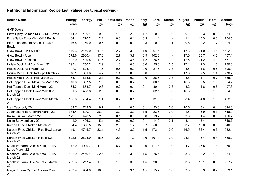| <b>Recipe Name</b>                                  | <b>Energy</b> | <b>Energy</b> | Fat  | saturates | mono | poly | Carb  | <b>Starch</b>  | <b>Sugars</b> | <b>Protein</b> | <b>Fibre</b> | Sodium |
|-----------------------------------------------------|---------------|---------------|------|-----------|------|------|-------|----------------|---------------|----------------|--------------|--------|
|                                                     | (kcal)        | (KJ)          | (g)  | (g)       | (g)  | (g)  | (g)   | (g)            | (g)           | (g)            | (g)          | (mg)   |
| <b>GMF Bowls</b>                                    |               |               |      |           |      |      |       |                |               |                |              |        |
| Extra Spicy Salmon Mix - GMF Bowls                  | 114.9         | 490.4         | 9.0  | 1.3       | 2.9  | 1.7  | 0.3   | 0.0            | 0.1           | 8.3            | 0.3          | 34.3   |
| Extra Spicy Tuna Mix - GMF Bowls                    | 64.1          | 270.2         | 2.1  | 0.3       | 0.1  | 0.3  | 1.1   |                | 1.1           | 10.3           | 0.3          | 154.5  |
| Extra Tenderstem Broccoli - GMF<br><b>Bowls</b>     | 16.5          | 69.0          | 0.5  | 0.1       | 0.1  | 0.3  | 0.9   | 0.1            | 0.8           | 2.2            | 1.7          | 4.0    |
| Glow Bowl - Half & Half                             | 510.3         | 2140.0        | 17.6 | 2.7       | 3.8  | 1.0  | 64.4  | $\blacksquare$ | 17.3          | 21.0           | 4.5          | 1502.1 |
| Glow Bowl - Rice                                    | 672.6         | 2830.4        | 17.6 | 2.7       | 3.7  | 0.9  | 102.3 | $\overline{a}$ | 17.0          | 20.7           | 4.0          | 1467.1 |
| Glow Bowl - Spinach                                 | 347.9         | 1449.5        | 17.6 | 2.7       | 3.8  | 1.2  | 26.5  |                | 17.5          | 21.2           | 4.9          | 1537.1 |
| Hoisin Duck Roll 6pc March 22                       | 295.4         | 1250.2        | 2.9  | 1.3       | 0.0  | 0.0  | 55.0  | 0.5            | 17.1          | 9.3            | 1.0          | 780.8  |
| Hoisin Duck Roll March 22                           | 147.7         | 625.1         | 1.5  | 0.6       | 0.0  | 0.0  | 27.5  | 0.3            | 8.5           | 4.6            | 0.5          | 390.4  |
| Hoisin Mock 'Duck' Roll 6pc March 22                | 316.1         | 1351.6        | 4.2  | 1.4       | 0.0  | 0.0  | 57.0  | 0.5            | 17.6          | 9.5            | 1.4          | 770.2  |
| Hoisin Mock 'Duck' Roll March 22                    | 158.1         | 675.8         | 2.1  | 0.7       | 0.0  | 0.0  | 28.5  | 0.3            | 8.8           | 4.7            | 0.7          | 385.1  |
| Hot Topped Duck Maki 8pc March 22                   | 310.6         | 1307.5        | 1.6  | 0.3       | 0.2  | 0.1  | 60.1  | 0.6            | 16.3          | 9.5            | 1.6          | 994.7  |
| Hot Topped Duck Maki March 22                       | 155.3         | 653.7         | 0.8  | 0.2       | 0.1  | 0.1  | 30.1  | 0.3            | 8.2           | 4.8            | 0.8          | 497.3  |
| Hot Topped Mock 'Duck' Maki 8pc<br>March 22         | 331.3         | 1408.8        | 2.9  | 0.5       | 0.2  | 0.1  | 62.1  | 0.6            | 16.8          | 9.7            | 1.9          | 984.0  |
| Hot Topped Mock 'Duck' Maki March<br>22             | 165.6         | 704.4         | 1.4  | 0.2       | 0.1  | 0.1  | 31.0  | 0.3            | 8.4           | 4.8            | 1.0          | 492.0  |
| Inari Taco July 20                                  | 169.7         | 712.5         | 6.7  | 1.2       | 0.5  | 0.1  | 23.0  | 0.0            | 10.5          | 3.4            | 0.4          | 324.0  |
| Japanese Fried Chicken March 22                     | 384.4         | 1600.1        | 26.4 | 3.0       | 3.0  | 1.5  | 23.5  | 0.0            | 1.5           | 15.9           | 0.3          | 748.0  |
| Kaiso Gunkan March 22                               | 129.7         | 490.5         | 2.8  | 0.1       | 0.0  | 0.0  | 19.7  | 0.0            | 3.6           | 1.4            | 0.6          | 466.7  |
| Kaiso Seaweed July 20                               | 141.9         | 496.3         | 5.1  | 0.2       | 0.0  | 0.1  | 14.9  | 0.1            | 8.1           | 3.4            | 1.1          | 719.7  |
| Korean Fried Chicken March 22                       | 394.4         | 1656.5        | 15.5 | 2.3       | 1.2  | 0.7  | 50.0  | 0.0            | 23.7          | 16.0           | 0.3          | 840.0  |
| Korean Fried Chicken Rice Bowl Large<br>March 22    | 1119.1        | 4715.7        | 32.1 | 4.6       | 3.0  | 1.5  | 172.1 | 0.0            | 46.5          | 32.4           | 0.6          | 1532.4 |
| Korean Fried Chicken Rice Bowl<br>March 22          | 622.5         | 2625.9        | 15.6 | 2.3       | 1.2  | 0.6  | 101.4 | 0.0            | 23.3          | 16.4           | 0.4          | 766.2  |
| Meatless Farm Chick'n Katsu Curry<br>Large March 22 | 977.0         | 4099.7        | 41.2 | 6.7       | 5.9  | 2.9  | 117.3 | 0.0            | 4.7           | 25.5           | 1.3          | 1489.0 |
| Meatless Farm Chick'n Katsu Curry<br>March 22       | 582.9         | 2449.4        | 22.5 | 4.5       | 3.0  | 1.5  | 76.4  | 0.0            | 3.3           | 13.2           | 1.0          | 954.1  |
| Meatless Farm Chick'n Katsu March<br>22             | 292.3         | 1217.4        | 17.6 | 1.5       | 3.0  | 1.5  | 20.0  | 0.0            | 3.5           | 12.1           | 0.3          | 737.7  |
| Mega Korean Gyoza Chicken March<br>22               | 232.4         | 964.9         | 16.3 | 1.9       | 3.1  | 1.5  | 15.7  | 0.0            | 3.3           | 5.9            | 0.2          | 359.1  |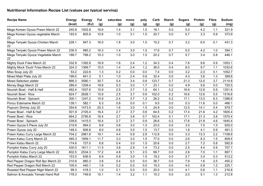| <b>Recipe Name</b>                        | <b>Energy</b> | <b>Energy</b> | Fat  | saturates | mono | poly | Carb  | <b>Starch</b> | <b>Sugars</b> | Protein | <b>Fibre</b> | Sodium |
|-------------------------------------------|---------------|---------------|------|-----------|------|------|-------|---------------|---------------|---------|--------------|--------|
|                                           | (kcal)        | (KJ)          | (g)  | (g)       | (g)  | (g)  | (g)   | (g)           | (g)           | (g)     | (g)          | (mg)   |
| Mega Korean Gyoza Prawn March 22          | 240.8         | 1002.8        | 16.6 | 1.4       | 3.1  | 1.5  | 18.1  | 0.0           | 5.0           | 4.2     | 1.1          | 321.9  |
| Mega Korean Gyoza vegetable March<br>22   | 193.0         | 805.8         | 10.6 | 1.0       | 3.1  | 1.5  | 20.7  | 0.0           | 5.7           | 3.3     | 0.9          | 373.9  |
| Mega Teriyaki Gyoza Chicken March<br>22   | 228.1         | 947.3         | 16.0 | 1.8       | 3.0  | 1.5  | 15.2  | 0.7           | 3.2           | 6.0     | 0.1          | 431.3  |
| Mega Teriyaki Gyoza Prawn March 22        | 236.5         | 985.2         | 16.3 | 1.4       | 3.0  | 1.5  | 17.6  | 0.7           | 5.0           | 4.2     | 1.0          | 394.1  |
| Mega Teriyaki Gyoza Vegetable March<br>22 | 188.7         | 788.2         | 10.3 | 1.0       | 3.0  | 1.5  | 20.2  | 0.7           | 5.7           | 3.4     | 0.8          | 446.1  |
| Mighty Duck Fries March 22                | 332.9         | 1392.8        | 16.9 | 1.6       | 2.4  | 1.2  | 34.3  | 0.4           | 7.6           | 9.6     | 0.9          | 1053.1 |
| Mighty Mock 'Duck' Fries March 22         | 324.3         | 1369.7        | 15.0 | 1.4       | 2.4  | 1.2  | 36.0  | 0.4           | 8.0           | 9.7     | 1.1          | 1032.6 |
| Miso Soup July 20                         | 53.2          | 222.6         | 1.3  | 0.2       | 0.0  | 0.0  | 7.4   | 0.0           | 3.2           | 2.3     | 0.1          | 1052.7 |
| Mixed Maki Plate July 20                  | 199.0         | 841.3         | 5.1  | 1.0       | 2.4  | 0.8  | 32.4  | 0.0           | 4.3           | 3.6     | 1.3          | 389.6  |
| <b>Mixed Selection platter</b>            | 866.3         | 3580.1        | 30.7 | 5.4       | 3.4  | 0.8  | 123.7 | 0.7           | 21.3          | 12.0    | 3.7          | 2114.8 |
| Money Bags March 22                       | 289.4         | 1209.4        | 18.8 | 5.3       | 3.0  | 1.7  | 23.1  | 0.0           | 4.9           | 5.6     | 0.0          | 720.5  |
| Nourish Bowl - Half & Half                | 462.4         | 1937.6        | 15.9 | 2.5       | 3.7  | 1.0  | 64.1  | 0.2           | 16.9          | 12.8    | 5.9          | 1351.6 |
| Nourish Bowl - Rice                       | 624.7         | 2628.1        | 15.9 | 2.5       | 3.7  | 0.9  | 102.0 | 0.2           | 16.6          | 12.6    | 5.5          | 1316.6 |
| Nourish Bowl - Spinach                    | 300.1         | 1247.2        | 15.9 | 2.4       | 3.7  | 1.2  | 26.2  | 0.2           | 17.1          | 13.0    | 6.3          | 1386.6 |
| Ponzu Edamame March 22                    | 139.1         | 582.1         | 6.3  | 0.8       | 0.0  | 0.1  | 9.5   | 0.0           | 0.3           | 11.6    | 0.0          | 466.1  |
| Popcorn Shrimp July 20                    | 354.6         | 1473.5        | 20.3 | 1.6       | 3.0  | 1.5  | 24.9  | 0.0           | 12.5          | 14.1    | 0.4          | 979.7  |
| Power Bowl - Half & Half                  | 501.9         | 2105.4        | 16.4 | 2.7       | 3.7  | 0.8  | 64.5  | 0.2           | 17.4          | 21.6    | 4.2          | 1605.4 |
| Power Bowl - Rice                         | 664.2         | 2795.8        | 16.4 | 2.7       | 3.6  | 0.7  | 102.4 | 0.1           | 17.1          | 21.3    | 3.8          | 1570.4 |
| Power Bowl - Spinach                      | 339.6         | 1415.0        | 16.4 | 2.7       | 3.7  | 0.9  | 26.6  | 0.2           | 17.6          | 21.8    | 4.6          | 1640.4 |
| Prawn Gyoza 5 Piece July 20               | 219.9         | 894.0         | 9.9  | 0.8       | 3.0  | 1.5  | 23.0  | 0.0           | 3.0           | 7.0     | 1.5          | 925.0  |
| Prawn Gyoza July 20                       | 148.4         | 606.8         | 8.0  | 0.6       | 3.0  | 1.5  | 13.7  | $0.0\,$       | 1.8           | 4.1     | 0.9          | 491.3  |
| Prawn Katsu Curry Large March 22          | 704.2         | 2961.8        | 19.1 | 4.4       | 5.9  | 2.9  | 112.8 | 0.0           | 3.3           | 13.3    | 2.2          | 1108.6 |
| Prawn Katsu Curry March 22                | 465.3         | 1959.1        | 11.7 | 3.3       | 3.0  | 1.5  | 77.0  | 0.0           | 2.6           | 8.3     | 1.5          | 809.4  |
| Prawn Katsu March 22                      | 174.6         | 727.0         | 6.8  | 0.4       | 3.0  | 1.5  | 20.6  | 0.0           | 2.7           | 7.2     | 0.8          | 592.9  |
| Pumpkin Katsu Curry July 20               | 430.0         | 1811.1        | 11.5 | 3.8       | 2.9  | 1.4  | 73.2  | 0.0           | 2.5           | 4.4     | 0.9          | 707.1  |
| Pumpkin Katsu Curry Large March 22        | 602.5         | 2534.3        | 17.2 | 4.8       | 5.1  | 2.5  | 99.7  | 0.0           | 2.8           | 7.0     | 1.1          | 897.1  |
| Pumpkin Katsu March 22                    | 153.0         | 636.9         | 6.9  | 0.9       | 3.0  | 1.5  | 19.2  | 0.0           | 2.7           | 3.4     | 0.3          | 513.2  |
| Red Pepper Dragon Roll 8pc March 22       | 210.8         | 880.3         | 3.8  | 0.4       | 0.0  | 0.0  | 38.7  | 0.0           | 7.9           | 1.6     | 2.5          | 450.2  |
| Red Pepper Dragon Roll March 22           | 105.4         | 440.1         | 1.9  | 0.2       | 0.0  | 0.0  | 19.3  | 0.0           | 4.0           | 0.8     | 1.2          | 225.1  |
| Roasted Red Pepper Nigiri March 22        | 99.3          | 418.3         | 1.0  | 0.1       | 0.0  | 0.0  | 20.0  | 0.0           | 4.1           | 0.6     | 1.1          | 216.8  |
| Salmon & Avocado Temaki Hand Roll         | 178.3         | 749.8         | 10.1 | 1.4       | 3.2  | 1.1  | 15.3  | 0.0           | 2.0           | 5.1     | 1.3          | 212.8  |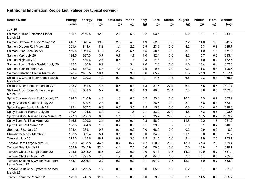| <b>Recipe Name</b>                                    | <b>Energy</b> | <b>Energy</b> | Fat  | saturates | mono | poly | Carb  | <b>Starch</b>  | <b>Sugars</b> | Protein | <b>Fibre</b> | Sodium |
|-------------------------------------------------------|---------------|---------------|------|-----------|------|------|-------|----------------|---------------|---------|--------------|--------|
|                                                       | (kcal)        | (KJ)          | (g)  | (g)       | (g)  | (g)  | (g)   | (g)            | (g)           | (g)     | (g)          | (mg)   |
| July 20                                               |               |               |      |           |      |      |       |                |               |         |              |        |
| Salmon & Tuna Selection Platter<br>March 22           | 505.1         | 2146.5        | 12.2 | 2.2       | 5.6  | 3.2  | 63.4  | $\sim$         | 9.2           | 30.7    | 1.9          | 944.3  |
| Salmon Dragon Roll 8pc March 22                       | 446.1         | 1879.4        | 19.5 | 2.5       | 4.9  | 1.9  | 52.3  | 0.0            | 7.2           | 11.8    | 1.8          | 641.7  |
| Salmon Dragon Roll March 22                           | 201.4         | 848.4         | 8.8  | 1.1       | 2.2  | 0.9  | 23.6  | 0.0            | 3.2           | 5.3     | 0.8          | 289.7  |
| Salmon Fried Rice Oct '21                             | 459.5         | 1941.6        | 17.8 | 2.7       | 5.4  | 7.5  | 58.4  | 0.0            | 3.1           | 11.9    | 1.5          | 671.8  |
| Salmon Maki July 20                                   | 194.5         | 827.3         | 3.7  | 0.7       | 1.7  | 1.0  | 32.1  | 0.0            | 4.2           | 5.7     | 0.8          | 393.4  |
| Salmon Nigiri July 20                                 | 103.1         | 439.6         | 2.8  | 0.5       | 1.4  | 0.8  | 14.3  | 0.0            | 1.9           | 4.0     | 0.2          | 182.5  |
| Salmon Ponzu Salsa Sashimi July 20                    | 115.2         | 480.6         | 6.9  | 1.1       | 3.4  | 2.0  | 2.3   | 0.0            | 1.0           | 10.4    | 0.4          | 372.6  |
| Salmon Sashimi March 22                               | 125.2         | 537.3         | 8.3  | 1.3       | 4.1  | 2.5  | 0.8   | 0.0            | 0.3           | 11.8    | 0.4          | 100.5  |
| Salmon Selection Platter March 22                     | 578.4         | 2465.5        | 20.4 | 3.5       | 9.8  | 5.6  | 65.9  | 0.0            | 9.5           | 27.9    | 2.0          | 1007.4 |
| Shiitake & Oyster Mushroom Teriyaki<br>March 22       | 75.9          | 320.2         | 1.0  | 0.1       | 0.0  | 0.1  | 14.5  | 1.3            | 6.6           | 2.3     | 0.4          | 455.7  |
| Shiitake Mushroom Ramen July 20                       | 225.2         | 931.8         | 4.3  | 0.5       | 0.4  | 1.3  | 37.5  | 27.4           | 6.4           | 7.5     | 0.5          | 1397.7 |
| Shiitake Mushroom Ramen Large<br>March 22             | 255.4         | 1058.0        | 5.7  | 0.6       | 0.4  | 1.3  | 40.6  | 27.4           | 7.8           | 8.8     | 0.6          | 2402.5 |
| Spicy Chicken Katsu Roll 6pc July 20                  | 294.3         | 1240.9        | 4.6  | 1.8       | 0.3  | 0.2  | 53.1  | 0.0            | 10.2          | 7.3     | 0.9          | 1065.9 |
| Spicy Chicken Katsu Roll July 20                      | 147.1         | 620.4         | 2.3  | 0.9       | 0.1  | 0.1  | 26.6  | 0.0            | 5.1           | 3.6     | 0.4          | 533.0  |
| Spicy Pepper Squid March 22                           | 193.4         | 807.2         | 6.3  | 0.8       | 3.0  | 1.5  | 15.8  | 0.0            | 6.3           | 16.4    | 0.2          | 829.8  |
| Spicy Seafood Ramen July 20                           | 270.4         | 1124.8        | 6.9  | 1.0       | 1.8  | 2.1  | 33.0  | 27.0           | 4.8           | 17.3    | 0.6          | 1493.6 |
| Spicy Seafood Ramen Large March 22                    | 297.0         | 1236.3        | 8.3  | 1.1       | 1.8  | 2.1  | 35.2  | 27.0           | 6.5           | 18.5    | 0.7          | 2569.9 |
| Spicy Tuna Roll 8pc March 22                          | 316.5         | 1329.2        | 3.1  | 0.5       | 0.1  | 0.3  | 58.0  | $\blacksquare$ | 11.8          | 10.2    | 1.5          | 1281.2 |
| Spicy Tuna Roll March 22                              | 158.3         | 664.6         | 1.6  | 0.2       | 0.0  | 0.1  | 29.0  | $\sim$         | 5.9           | 5.1     | 0.7          | 640.6  |
| Steamed Rice July 20                                  | 303.4         | 1289.1        | 0.3  | 0.1       | 0.0  | 0.0  | 68.9  | 0.0            | 0.2           | 0.9     | 0.5          | 0.0    |
| Strawberry Mochi March 22                             | 193.5         | 809.4         | 5.4  | 3.1       | 0.0  | 0.0  | 34.3  | 0.0            | 21.1          | 0.0     | 0.0          | 71.7   |
| Takoyaki July 20                                      | 273.3         | 1135.6        | 18.7 | 0.9       | 3.0  | 1.5  | 21.5  | 0.0            | 2.4           | 4.9     | 2.0          | 773.7  |
| Teriyaki Beef Large March 22                          | 983.0         | 4118.8        | 44.5 | 8.2       | 15.2 | 17.2 | 110.6 | 20.0           | 13.9          | 27.3    | 2.3          | 699.4  |
| Teriyaki Beef March 22                                | 558.9         | 2345.9        | 22.3 | 4.1       | 7.6  | 8.6  | 70.6  | 10.0           | 7.0           | 13.8    | 1.3          | 349.7  |
| Teriyaki Chicken Large March 22                       | 715.5         | 3018.0        | 15.5 | 3.8       | 0.0  | 0.0  | 97.3  | 2.5            | 14.2          | 39.9    | 0.7          | 1531.1 |
| Teriyaki Chicken March 22                             | 425.2         | 1795.5        | 7.8  | 1.9       | 0.0  | 0.0  | 64.0  | 1.3            | 7.2           | 20.1    | 0.5          | 765.5  |
| Teriyaki Shiitake & Oyster Mushroom<br>Large March 22 | 473.1         | 2006.1        | 2.2  | 0.2       | 0.0  | 0.1  | 101.2 | 2.5            | 12.3          | $5.0$   | 0.7          | 763.9  |
| Teriyaki Shiitake & Oyster Mushroom<br>March 22       | 304.0         | 1289.5        | 1.2  | 0.1       | 0.0  | 0.0  | 65.9  | 1.3            | 6.2           | 2.7     | 0.5          | 381.9  |
| Truffle Edamame March 22                              | 179.0         | 745.8         | 11.0 | 1.5       | 0.0  | 0.0  | 9.0   | 0.0            | 0.1           | 11.5    | 0.0          | 395.7  |